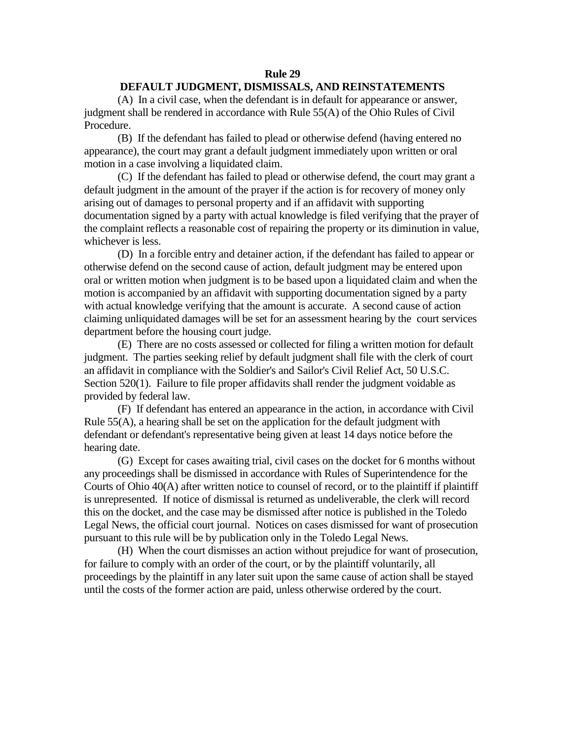## **Rule 29**

## **DEFAULT JUDGMENT, DISMISSALS, AND REINSTATEMENTS**

(A) In a civil case, when the defendant is in default for appearance or answer, judgment shall be rendered in accordance with Rule 55(A) of the Ohio Rules of Civil Procedure.

(B) If the defendant has failed to plead or otherwise defend (having entered no appearance), the court may grant a default judgment immediately upon written or oral motion in a case involving a liquidated claim.

(C) If the defendant has failed to plead or otherwise defend, the court may grant a default judgment in the amount of the prayer if the action is for recovery of money only arising out of damages to personal property and if an affidavit with supporting documentation signed by a party with actual knowledge is filed verifying that the prayer of the complaint reflects a reasonable cost of repairing the property or its diminution in value, whichever is less.

(D) In a forcible entry and detainer action, if the defendant has failed to appear or otherwise defend on the second cause of action, default judgment may be entered upon oral or written motion when judgment is to be based upon a liquidated claim and when the motion is accompanied by an affidavit with supporting documentation signed by a party with actual knowledge verifying that the amount is accurate. A second cause of action claiming unliquidated damages will be set for an assessment hearing by the court services department before the housing court judge.

(E) There are no costs assessed or collected for filing a written motion for default judgment. The parties seeking relief by default judgment shall file with the clerk of court an affidavit in compliance with the Soldier's and Sailor's Civil Relief Act, 50 U.S.C. Section 520(1). Failure to file proper affidavits shall render the judgment voidable as provided by federal law.

(F) If defendant has entered an appearance in the action, in accordance with Civil Rule 55(A), a hearing shall be set on the application for the default judgment with defendant or defendant's representative being given at least 14 days notice before the hearing date.

(G) Except for cases awaiting trial, civil cases on the docket for 6 months without any proceedings shall be dismissed in accordance with Rules of Superintendence for the Courts of Ohio 40(A) after written notice to counsel of record, or to the plaintiff if plaintiff is unrepresented. If notice of dismissal is returned as undeliverable, the clerk will record this on the docket, and the case may be dismissed after notice is published in the Toledo Legal News, the official court journal. Notices on cases dismissed for want of prosecution pursuant to this rule will be by publication only in the Toledo Legal News.

(H) When the court dismisses an action without prejudice for want of prosecution, for failure to comply with an order of the court, or by the plaintiff voluntarily, all proceedings by the plaintiff in any later suit upon the same cause of action shall be stayed until the costs of the former action are paid, unless otherwise ordered by the court.